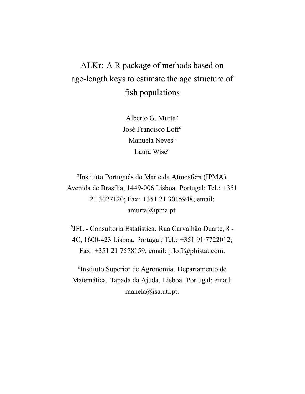# ALKr: A R package of methods based on age-length keys to estimate the age structure of fish populations

Alberto G. Murta*<sup>a</sup>* José Francisco Loff*<sup>b</sup>* Manuela Neves*<sup>c</sup>* Laura Wise*<sup>a</sup>*

*a* Instituto Português do Mar e da Atmosfera (IPMA). Avenida de Brasília, 1449-006 Lisboa. Portugal; Tel.: +351 21 3027120; Fax: +351 21 3015948; email: amurta@ipma.pt.

*b* JFL - Consultoria Estatística. Rua Carvalhão Duarte, 8 - 4C, 1600-423 Lisboa. Portugal; Tel.: +351 91 7722012; Fax: +351 21 7578159; email: jfloff@phistat.com.

*c* Instituto Superior de Agronomia. Departamento de Matemática. Tapada da Ajuda. Lisboa. Portugal; email: manela@isa.utl.pt.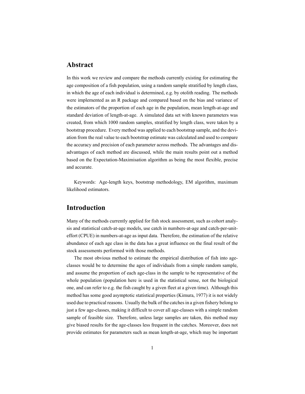## **Abstract**

In this work we review and compare the methods currently existing for estimating the age composition of a fish population, using a random sample stratified by length class, in which the age of each individual is determined, e.g. by otolith reading. The methods were implemented as an R package and compared based on the bias and variance of the estimators of the proportion of each age in the population, mean length-at-age and standard deviation of length-at-age. A simulated data set with known parameters was created, from which 1000 random samples, stratified by length class, were taken by a bootstrap procedure. Every method was applied to each bootstrap sample, and the deviation from the real value to each bootstrap estimate was calculated and used to compare the accuracy and precision of each parameter across methods. The advantages and disadvantages of each method are discussed, while the main results point out a method based on the Expectation-Maximisation algorithm as being the most flexible, precise and accurate.

Keywords: Age-length keys, bootstrap methodology, EM algorithm, maximum likelihood estimators.

## **Introduction**

Many of the methods currently applied for fish stock assessment, such as cohort analysis and statistical catch-at-age models, use catch in numbers-at-age and catch-per-uniteffort (CPUE) in numbers-at-age as input data. Therefore, the estimation of the relative abundance of each age class in the data has a great influence on the final result of the stock assessments performed with those methods.

The most obvious method to estimate the empirical distribution of fish into ageclasses would be to determine the ages of individuals from a simple random sample, and assume the proportion of each age-class in the sample to be representative of the whole population (population here is used in the statistical sense, not the biological one, and can refer to e.g. the fish caught by a given fleet at a given time). Although this method has some good asymptotic statistical properties (Kimura, 1977) it is not widely used due to practical reasons. Usually the bulk of the catches in a given fishery belong to just a few age-classes, making it difficult to cover all age-classes with a simple random sample of feasible size. Therefore, unless large samples are taken, this method may give biased results for the age-classes less frequent in the catches. Moreover, does not provide estimates for parameters such as mean length-at-age, which may be important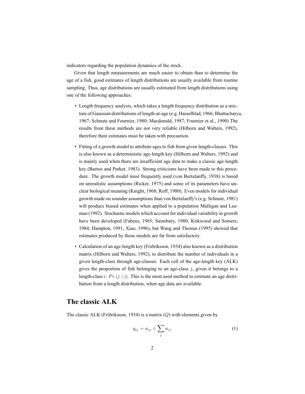indicators regarding the population dynamics of the stock.

Given that length measurements are much easier to obtain than to determine the age of a fish, good estimates of length distributions are usually available from routine sampling. Thus, age distributions are usually estimated from length distributions using one of the following approaches:

- Length frequency analysis, which takes a length frequency distribution as a mixture of Gaussian distributions of length-at-age (e.g. Hasselblad, 1966; Bhattacharya, 1967; Schnute and Fournier, 1980; Macdonald, 1987; Fournier et al., 1990) The results from these methods are not very reliable (Hilborn and Walters, 1992), therefore their estimates must be taken with precaution.
- Fitting of a growth model to attribute ages to fish from given length-classes. This is also known as a deterministic age-length key (Hilborn and Walters, 1992) and is mainly used when there are insufficient age data to make a classic age-length key (Bartoo and Parker, 1983). Strong criticisms have been made to this procedure. The growth model most frequently used (von Bertalanffy, 1938) is based on unrealistic assumptions (Ricker, 1975) and some of its parameters have unclear biological meaning (Knight, 1968; Roff, 1980). Even models for individual growth made on sounder assumptions than von Bertalanffy's (e.g. Schnute, 1981) will produce biased estimates when applied to a population Mulligan and Leaman (1992). Stochastic models which account for individual variability in growth have been developed (Fabens, 1965; Sainsbury, 1980; Kirkwood and Somers, 1984; Hampton, 1991; Xiao, 1996), but Wang and Thomas (1995) showed that estimates produced by those models are far from satisfactory.
- Calculation of an age-length key (Friðriksson, 1934) also known as a distribution matrix (Hilborn and Walters, 1992), to distribute the number of individuals in a given length-class through age-classes. Each cell of the age-length key (ALK) gives the proportion of fish belonging to an age-class *j*, given it belongs to a length-class *i*:  $Pr(j | i)$ . This is the most used method to estimate an age distribution from a length distribution, when age data are available.

## **The classic ALK**

The classic ALK (Friðriksson, 1934) is a matrix (*Q*) with elements given by

$$
q_{ij} = a_{ij} \div \sum_j a_{ij} \tag{1}
$$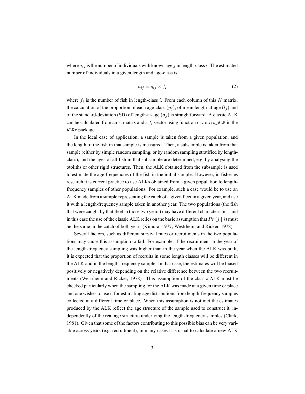where  $a_{ij}$  is the number of individuals with known age  $j$  in length-class  $i$ . The estimated number of individuals in a given length and age-class is

$$
n_{ij} = q_{ij} \times f_i \tag{2}
$$

where  $f_i$  is the number of fish in length-class  $i$ . From each column of this  $N$  matrix, the calculation of the proportion of each age-class  $(p_j)$ , of mean length-at-age  $(\bar{l}_j)$  and of the standard-deviation (SD) of length-at-age  $(\sigma_i)$  is straightforward. A classic ALK can be calculated from an  $A$  matrix and a  $f_i$  vector using function classic\_ALK in the ALKr package.

In the ideal case of application, a sample is taken from a given population, and the length of the fish in that sample is measured. Then, a subsample is taken from that sample (either by simple random sampling, or by random sampling stratified by lengthclass), and the ages of all fish in that subsample are determined, e.g. by analysing the otoliths or other rigid structures. Then, the ALK obtained from the subsample is used to estimate the age-frequencies of the fish in the initial sample. However, in fisheries research it is current practice to use ALKs obtained from a given population to lengthfrequency samples of other populations. For example, such a case would be to use an ALK made from a sample representing the catch of a given fleet in a given year, and use it with a length-frequency sample taken in another year. The two populations (the fish that were caught by that fleet in those two years) may have different characteristics, and in this case the use of the classic ALK relies on the basic assumption that  $Pr(j | i)$  must be the same in the catch of both years (Kimura, 1977; Westrheim and Ricker, 1978).

Several factors, such as different survival rates or recruitments in the two populations may cause this assumption to fail. For example, if the recruitment in the year of the length-frequency sampling was higher than in the year when the ALK was built, it is expected that the proportion of recruits in some length classes will be different in the ALK and in the length-frequency sample. In that case, the estimates will be biased positively or negatively depending on the relative difference between the two recruitments (Westrheim and Ricker, 1978). This assumption of the classic ALK must be checked particularly when the sampling for the ALK was made at a given time or place and one wishes to use it for estimating age distributions from length-frequency samples collected at a different time or place. When this assumption is not met the estimates produced by the ALK reflect the age structure of the sample used to construct it, independently of the real age structure underlying the length-frequency samples (Clark, 1981). Given that some of the factors contributing to this possible bias can be very variable across years (e.g. recruitment), in many cases it is usual to calculate a new ALK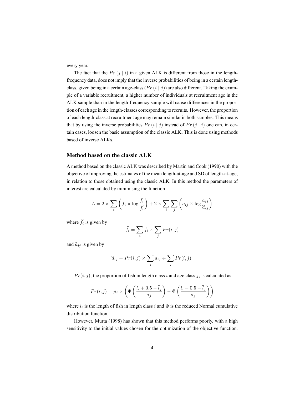every year.

The fact that the  $Pr(j | i)$  in a given ALK is different from those in the lengthfrequency data, does not imply that the inverse probabilities of being in a certain lengthclass, given being in a certain age-class  $(Pr(i | j))$  are also different. Taking the example of a variable recruitment, a higher number of individuals at recruitment age in the ALK sample than in the length-frequency sample will cause differences in the proportion of each age in the length-classes corresponding to recruits. However, the proportion of each length-class at recruitment age may remain similar in both samples. This means that by using the inverse probabilities  $Pr(i|j)$  instead of  $Pr(j|i)$  one can, in certain cases, loosen the basic assumption of the classic ALK. This is done using methods based of inverse ALKs.

#### **Method based on the classic ALK**

A method based on the classic ALK was described by Martin and Cook (1990) with the objective of improving the estimates of the mean length-at-age and SD of length-at-age, in relation to those obtained using the classic ALK. In this method the parameters of interest are calculated by minimising the function

$$
L = 2 \times \sum_{i} \left( f_i \times \log \frac{f_i}{\hat{f}_i} \right) + 2 \times \sum_{i} \sum_{j} \left( a_{ij} \times \log \frac{a_{ij}}{\hat{a}_{ij}} \right)
$$

where  $f_i$  is given by

$$
\hat{f}_i = \sum_i f_i \times \sum_j Pr(i, j)
$$

and  $\hat{a}_{ij}$  is given by

$$
\widehat{a}_{ij} = Pr(i,j) \times \sum_j a_{ij} \div \sum_j Pr(i,j).
$$

 $Pr(i, j)$ , the proportion of fish in length class *i* and age class *j*, is calculated as

$$
Pr(i,j) = p_j \times \left( \Phi \left( \frac{l_i + 0.5 - \bar{l}_j}{\sigma_j} \right) - \Phi \left( \frac{l_i - 0.5 - \bar{l}_j}{\sigma_j} \right) \right)
$$

where  $l_i$  is the length of fish in length class  $i$  and  $\Phi$  is the reduced Normal cumulative distribution function.

However, Murta (1998) has shown that this method performs poorly, with a high sensitivity to the initial values chosen for the optimization of the objective function.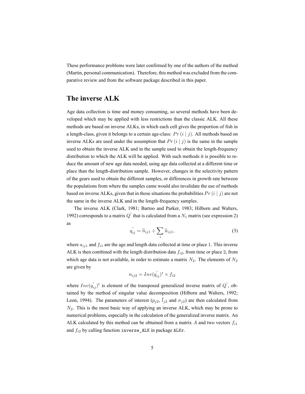These performance problems were later confirmed by one of the authors of the method (Martin, personal communication). Therefore, this method was excluded from the comparative review and from the software package described in this paper.

## **The inverse ALK**

Age data collection is time and money consuming, so several methods have been developed which may be applied with less restrictions than the classic ALK. All these methods are based on inverse ALKs, in which each cell gives the proportion of fish in a length-class, given it belongs to a certain age-class:  $Pr(i | j)$ . All methods based on inverse ALKs are used under the assumption that  $Pr(i | j)$  is the same in the sample used to obtain the inverse ALK and in the sample used to obtain the length-frequency distribution to which the ALK will be applied. With such methods it is possible to reduce the amount of new age data needed, using age data collected at a different time or place than the length-distribution sample. However, changes in the selectivity pattern of the gears used to obtain the different samples, or differences in growth rate between the populations from where the samples came would also invalidate the use of methods based on inverse ALKs, given that in those situations the probabilities  $Pr(i | j)$  are not the same in the inverse ALK and in the length-frequency samples.

The inverse ALK (Clark, 1981; Bartoo and Parker, 1983; Hilborn and Walters, 1992) corresponds to a matrix  $Q'$  that is calculated from a  $N_1$  matrix (see expression 2) as

$$
q'_{ij} = \hat{n}_{ij1} \div \sum_{i} \hat{n}_{ij1},
$$
\n(3)

where  $a_{ij1}$  and  $f_{i1}$  are the age and length data collected at time or place 1. This inverse ALK is then combined with the length distribution data *fi*2, from time or place 2, from which age data is not available, in order to estimate a matrix  $N_2$ . The elements of  $N_2$ are given by

$$
n_{ij2} = Inv(q_{ij}')^t \times f_{i2}
$$

where  $Inv(q'_{ij})^t$  is element of the transposed generalized inverse matrix of  $Q'$ , obtained by the method of singular value decomposition (Hilborn and Walters, 1992; Leon, 1994). The parameters of interest  $(p_{j2}, \bar{l}_{j2})$  and  $\sigma_{j2}$ ) are then calculated from *N*2. This is the most basic way of applying an inverse ALK, which may be prone to numerical problems, especially in the calculation of the generalized inverse matrix. An ALK calculated by this method can be obtained from a matrix *A* and two vectors *fi*<sup>1</sup> and *fi*<sup>2</sup> by calling function inverse\_ALK in package ALKr.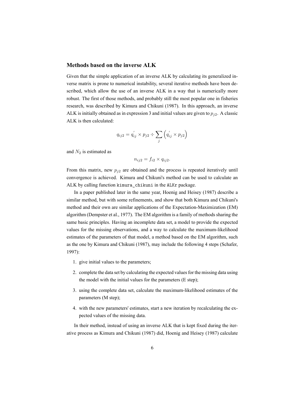#### **Methods based on the inverse ALK**

Given that the simple application of an inverse ALK by calculating its generalized inverse matrix is prone to numerical instability, several iterative methods have been described, which allow the use of an inverse ALK in a way that is numerically more robust. The first of those methods, and probably still the most popular one in fisheries research, was described by Kimura and Chikuni (1987). In this approach, an inverse ALK is initially obtained as in expression 3 and initial values are given to *pj*2. A classic ALK is then calculated:

$$
q_{ij2} = q'_{ij} \times p_{j2} \div \sum_j \left( q'_{ij} \times p_{j2} \right)
$$

and  $N_2$  is estimated as

 $n_{ii2} = f_{i2} \times q_{ii2}$ .

From this matrix, new  $p_{i2}$  are obtained and the process is repeated iteratively until convergence is achieved. Kimura and Chikuni's method can be used to calculate an ALK by calling function kimura\_chikuni in the ALKr package.

In a paper published later in the same year, Hoenig and Heisey (1987) describe a similar method, but with some refinements, and show that both Kimura and Chikuni's method and their own are similar applications of the Expectation-Maximization (EM) algorithm (Dempster et al., 1977). The EM algorithm is a family of methods sharing the same basic principles. Having an incomplete data set, a model to provide the expected values for the missing observations, and a way to calculate the maximum-likelihood estimates of the parameters of that model, a method based on the EM algorithm, such as the one by Kimura and Chikuni (1987), may include the following 4 steps (Schafer, 1997):

- 1. give initial values to the parameters;
- 2. complete the data set by calculating the expected values for the missing data using the model with the initial values for the parameters (E step);
- 3. using the complete data set, calculate the maximum-likelihood estimates of the parameters (M step);
- 4. with the new parameters' estimates, start a new iteration by recalculating the expected values of the missing data.

In their method, instead of using an inverse ALK that is kept fixed during the iterative process as Kimura and Chikuni (1987) did, Hoenig and Heisey (1987) calculate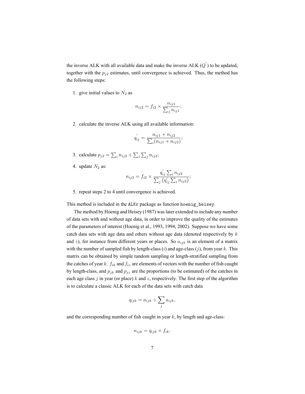the inverse ALK with all available data and make the inverse ALK (*Q ′* ) to be updated, together with the  $p_{j2}$  estimates, until convergence is achieved. Thus, the method has the following steps:

1. give initial values to  $N_2$  as

$$
n_{ij2} = f_{i2} \times \frac{n_{ij1}}{\sum_j n_{ij1}};
$$

2. calculate the inverse ALK using all available information:

$$
q'_{ij} = \frac{n_{ij1} + n_{ij2}}{\sum_{i} (n_{ij1} + n_{ij2})};
$$

- 3. calculate  $p_{j2} = \sum_i n_{ij2} \div \sum_i \sum_j n_{ij2}$ ;
- 4. update  $N_2$  as:

$$
n_{ij2} = f_{i2} \times \frac{q_{ij}^{'} \sum_{i} n_{ij2}}{\sum_{j} (q_{ij}^{'} \sum_{i} n_{ij2})};
$$

5. repeat steps 2 to 4 until convergence is achieved.

This method is included in the ALKr package as function hoenig\_heisey.

The method by Hoenig and Heisey (1987) was later extended to include any number of data sets with and without age data, in order to improve the quality of the estimates of the parameters of interest (Hoenig et al., 1993, 1994, 2002). Suppose we have some catch data sets with age data and others without age data (denoted respectively by *k* and *z*), for instance from different years or places. So  $a_{ijk}$  is an element of a matrix with the number of sampled fish by length-class (*i*) and age-class (*j*), from year *k*. This matrix can be obtained by simple random sampling or length-stratified sampling from the catches of year *k*. *fik* and *fiz* are elements of vectors with the number of fish caught by length-class, and  $p_{jk}$  and  $p_{jz}$  are the proportions (to be estimated) of the catches in each age class *j* in year (or place) *k* and *z*, respectively. The first step of the algorithm is to calculate a classic ALK for each of the data sets with catch data

$$
q_{ijk} = a_{ijk} \div \sum_j a_{ijk},
$$

and the corresponding number of fish caught in year *k*, by length and age-class:

$$
n_{ijk} = q_{ijk} \times f_{ik}.
$$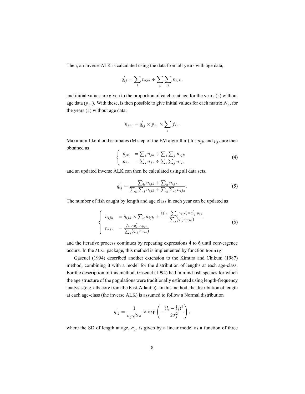Then, an inverse ALK is calculated using the data from all years with age data,

$$
q'_{ij} = \sum_{k} n_{ijk} \div \sum_{k} \sum_{i} n_{ijk},
$$

and initial values are given to the proportion of catches at age for the years (*z*) without age data  $(p_{jz})$ . With these, is then possible to give initial values for each matrix  $N_z$ , for the years (*z*) without age data:

$$
n_{ijz} = q'_{ij} \times p_{jz} \times \sum_i f_{iz}.
$$

Maximum-likelihood estimates (M step of the EM algorithm) for  $p_{jk}$  and  $p_{jz}$  are then obtained as

$$
\begin{cases}\n p_{jk} &= \sum_{i} n_{jk} \div \sum_{i} \sum_{j} n_{ijk} \\
 p_{jz} &= \sum_{i} n_{jz} \div \sum_{i} \sum_{j} n_{ijz}\n\end{cases} \tag{4}
$$

and an updated inverse ALK can then be calculated using all data sets,

$$
q'_{ij} = \frac{\sum_{k} n_{ijk} + \sum_{z} n_{ijz}}{\sum_{k} \sum_{i} n_{ijk} + \sum_{z} \sum_{i} n_{ijz}}.
$$
 (5)

The number of fish caught by length and age class in each year can be updated as

$$
\begin{cases}\n n_{ijk} = q_{ijk} \times \sum_{j} a_{ijk} + \frac{(f_{ik} - \sum_{j} a_{ijk}) \times q'_{ij} p_{jk}}{\sum_{j} (q'_{ij} \times p_{jk})} \\
 n_{ijz} = \frac{f_{iz} \times q'_{ij} \times p_{jz}}{\sum_{j} (q'_{ij} \times p_{jz})}\n\end{cases}
$$
\n(6)

and the iterative process continues by repeating expressions 4 to 6 until convergence occurs. In the ALKr package, this method is implemented by function hoenig.

Gascuel (1994) described another extension to the Kimura and Chikuni (1987) method, combining it with a model for the distribution of lengths at each age-class. For the description of this method, Gascuel (1994) had in mind fish species for which the age structure of the populations were traditionally estimated using length-frequency analysis (e.g. albacore from the East-Atlantic). In this method, the distribution of length at each age-class (the inverse ALK) is assumed to follow a Normal distribution

$$
q_{ij}' = \frac{1}{\sigma_j \sqrt{2\pi}} \times \exp\left(-\frac{(l_i - \overline{l}_j)^2}{2\sigma_j^2}\right),\,
$$

where the SD of length at age,  $\sigma_j$ , is given by a linear model as a function of three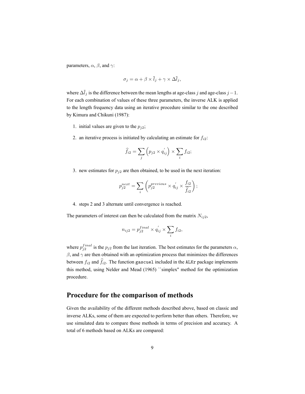parameters,  $\alpha$ ,  $\beta$ , and  $\gamma$ :

$$
\sigma_j = \alpha + \beta \times \bar{l}_j + \gamma \times \Delta \bar{l}_j,
$$

where ∆*l<sup>j</sup>* is the difference between the mean lengths at age-class *j* and age-class *j−*1. For each combination of values of these three parameters, the inverse ALK is applied to the length frequency data using an iterative procedure similar to the one described by Kimura and Chikuni (1987):

- 1. initial values are given to the  $p_{j2}$ ;
- 2. an iterative process is initiated by calculating an estimate for  $f_{i2}$ :

$$
\widehat{f}_{i2} = \sum_{j} \left( p_{j2} \times q'_{ij} \right) \times \sum_{i} f_{i2};
$$

3. new estimates for  $p_{i2}$  are then obtained, to be used in the next iteration:

$$
p_{j2}^{next} = \sum_{i} \left( p_{j2}^{previous} \times q_{ij}^{'} \times \frac{f_{i2}}{\hat{f}_{i2}} \right);
$$

4. steps 2 and 3 alternate until convergence is reached.

The parameters of interest can then be calculated from the matrix  $N_{ij2}$ ,

$$
n_{ij2} = p_{j2}^{final} \times q_{ij}^{'} \times \sum_{i} f_{i2},
$$

where  $p_{j2}^{final}$  is the  $p_{j2}$  from the last iteration. The best estimates for the parameters  $\alpha$ ,  $β$ , and  $γ$  are then obtained with an optimization process that minimizes the differences between  $f_{i2}$  and  $\hat{f}_{i2}$ . The function gascuel included in the ALKr package implements this method, using Nelder and Mead (1965) ``simplex'' method for the optimization procedure.

## **Procedure for the comparison of methods**

Given the availability of the different methods described above, based on classic and inverse ALKs, some of them are expected to perform better than others. Therefore, we use simulated data to compare those methods in terms of precision and accuracy. A total of 6 methods based on ALKs are compared: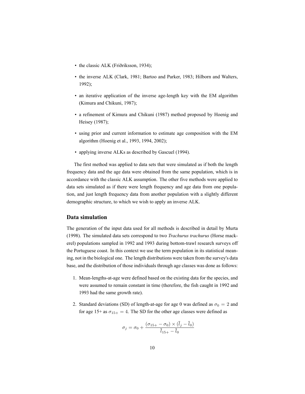- the classic ALK (Friðriksson, 1934);
- the inverse ALK (Clark, 1981; Bartoo and Parker, 1983; Hilborn and Walters, 1992);
- an iterative application of the inverse age-length key with the EM algorithm (Kimura and Chikuni, 1987);
- a refinement of Kimura and Chikuni (1987) method proposed by Hoenig and Heisey (1987);
- using prior and current information to estimate age composition with the EM algorithm (Hoenig et al., 1993, 1994, 2002);
- applying inverse ALKs as described by Gascuel (1994).

The first method was applied to data sets that were simulated as if both the length frequency data and the age data were obtained from the same population, which is in accordance with the classic ALK assumption. The other five methods were applied to data sets simulated as if there were length frequency and age data from one population, and just length frequency data from another population with a slightly different demographic structure, to which we wish to apply an inverse ALK.

#### **Data simulation**

The generation of the input data used for all methods is described in detail by Murta (1998). The simulated data sets correspond to two *Trachurus trachurus* (Horse mackerel) populations sampled in 1992 and 1993 during bottom-trawl research surveys off the Portuguese coast. In this context we use the term population in its statistical meaning, not in the biological one. The length distributions were taken from the survey's data base, and the distribution of those individuals through age classes was done as follows:

- 1. Mean-lengths-at-age were defined based on the existing data for the species, and were assumed to remain constant in time (therefore, the fish caught in 1992 and 1993 had the same growth rate).
- 2. Standard deviations (SD) of length-at-age for age 0 was defined as  $\sigma_0 = 2$  and for age 15+ as  $\sigma_{15+} = 4$ . The SD for the other age classes were defined as

$$
\sigma_j = \sigma_0 + \frac{(\sigma_{15+} - \sigma_0) \times (\overline{l}_j - \overline{l}_0)}{\overline{l}_{15+} - \overline{l}_0}
$$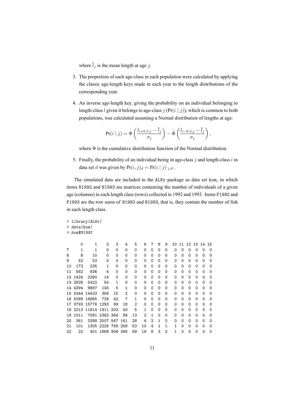where  $\bar{l}_j$  is the mean length at age *j*.

- 3. The proportion of each age-class in each population were calculated by applying the classic age-length keys made in each year to the length distributions of the corresponding year.
- 4. An inverse age-length key, giving the probability on an individual belonging to length-class *l* given it belongs to age-class *j* (Pr(*i | j*)), which is common to both populations, was calculated assuming a Normal distribution of lengths at age:

$$
Pr(i | j) = \Phi\left(\frac{l_{i+0.5,j} - \overline{l}_j}{\sigma_j}\right) - \Phi\left(\frac{l_{i-0.5,j} - \overline{l}_j}{\sigma_j}\right),
$$

where  $\Phi$  is the cumulative distribution function of the Normal distribution.

5. Finally, the probability of an individual being in age-class *j* and length-class *i* in data set *d* was given by  $Pr(i, j)_d = Pr(i | j) \cdot j$ .

The simulated data are included in the ALKr package as data set hom, in which items N1992 and N1993 are matrices containing the number of individuals of a given age (columns) in each length class (rows) collected in 1992 and 1993. Items F1992 and F1993 are the row sums of N1992 and N1993, that is, they contain the number of fish in each length class.

```
> library(ALKr)
> data(hom)
> hom$N1992
```

|    | Ω       | 1             | 2             | 3   | 4   | 5  | 6  |          | 8        | 9        | 10 | 11 | 12 | 13 | 14 | 15                |  |
|----|---------|---------------|---------------|-----|-----|----|----|----------|----------|----------|----|----|----|----|----|-------------------|--|
| 7  | 1       | 1             | 0             | 0   | 0   | 0  | 0  | $\Omega$ | 0        | 0        | Ω  | 0  | 0  | Ω  |    |                   |  |
| 8  | 8       | 10            | O             | 0   | 0   | 0  | Ω  | ი        | Ω        | 0        | Ω  | Ω  | 0  | Ω  | Ω  | O                 |  |
| 9  | 42      | 53            | 0             | 0   | 0   | 0  | Ω  | O        | Ω        | Ω        | Ω  | Ω  | 0  | Ω  | ი  | $\mathbf{\Omega}$ |  |
| 10 | 173     | 235           | 1             | 0   | 0   | 0  | 0  | O)       | Ω        | 0        | 0  | Ω  | 0  | Ω  | O  | U                 |  |
| 11 | 562     | 836           | 4             | 0   | 0   | 0  | 0  | Ω        | 0        | 0        | 0  | Ω  | 0  | Ω  | Ω  | U                 |  |
|    | 12 1424 | 2380          | 14            | 0   | 0   | 0  | Ω  | ი        | Ω        | 0        | O  | Ω  | 0  | 0  | Ω  | O                 |  |
|    | 13 2828 | 5422          | 50            | 1   | 0   | 0  | Ω  | 0        | Ω        | 0        | Ω  | ი  | 0  | O  | ი  | $\mathbf{\Omega}$ |  |
| 14 | 4394    | 9887          | 145           | 5   | 1   | 0  | 0  | ი        | Ω        | 0        | 0  | Ω  | 0  | Ω  | O  | $\mathbf{\Omega}$ |  |
|    |         | 15 5344 14433 | 356           | 15  | 2   | 0  | 0  | O        | Ω        | 0        | 0  | Ω  | 0  | Ω  | Ω  | U                 |  |
|    | 16 5089 | 16865         | 739           | 42  | 7   | 1  | O  | O        | Ω        | Ω        | Ω  | Ω  | 0  | Ω  | Ω  | O                 |  |
| 17 |         | 3793 15776    | 1293          | 99  | 18  | 2  | ∩  | U        | ∩        | Ω        | Ω  | ∩  | 0  | O  | O  |                   |  |
| 18 | 2213    | 11814         | 1911          | 203 | 43  | 5  |    | O        | Ω        | 0        | 0  | Ω  | Ω  | Ω  | ი  | U                 |  |
| 19 | 1011    |               | 7081 2382 364 |     | 89  | 13 | 2  |          | $\Omega$ | $\Omega$ | 0  | Ω  | 0  | 0  | Ω  |                   |  |
| 20 | 361     |               | 3398 2507     | 567 | 161 | 28 | 4  | 2        | 1        | $\Omega$ | Ω  | Ω  | 0  | O  | O  | ი                 |  |
| 21 | 101     | 1305          | 2226 769 258  |     |     | 53 | 10 | 4        | 1        | 1        |    | ∩  | Ω  | ∩  |    |                   |  |
| 22 | 22      | 401           | 1668 908 366  |     |     | 89 | 19 | 8        | 3        | 2        |    | 0  | 0  | 0  | Ω  |                   |  |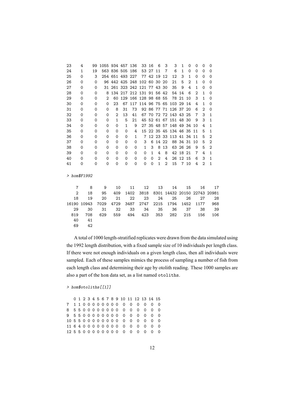| 23             | 4        | 99          | 1055 934 457   |                 |              | 136  | 33                       | 16           | 6              | 3              | 3         | 1              | 0              | 0            | 0              | 0                       |
|----------------|----------|-------------|----------------|-----------------|--------------|------|--------------------------|--------------|----------------|----------------|-----------|----------------|----------------|--------------|----------------|-------------------------|
| 24             | 1        | 19          |                | 563 836 505 186 |              |      | 53                       | 27           | 11             | 7              | 6         | 1              | 0              | 0            | 0              | 0                       |
| 25             | 0        | 3           |                | 254 651 493 227 |              |      |                          | 77 42        | 19             | 12             | 12        | 3              | $\mathbf{1}$   | 0            | 0              | $\Omega$                |
| 26             | 0        | 0           |                | 96 442 425 248  |              |      | 102 60 30 20             |              |                |                | 21        | 5              | $\overline{2}$ | $\mathbf{1}$ | 0              | $\Omega$                |
| 27             | 0        | 0           | 31             |                 |              |      | 261 323 242 121 77 43 30 |              |                |                | 35        | 9              | 4              | $\mathbf{1}$ | 0              | $\Omega$                |
| 28             | 0        | 0           | 8              |                 |              |      | 134 217 212 131 91 56 42 |              |                |                | 54        | 14             | 6              | 2            | $\mathbf{1}$   | $\Omega$                |
| 29             | $\Omega$ | $\Omega$    | $\overline{2}$ | 60              |              |      | 129 166 128 98 68 55     |              |                |                |           | 78 21          | 10             | 3            | $\mathbf{1}$   | $\Omega$                |
| 30             | 0        | 0           | 0              | 23              | 67           |      | 117 114 96 75 65         |              |                |                | 103 29    |                | 14             | 4            | $\mathbf{1}$   | 0                       |
| 31             | 0        | 0           | 0              | 8               | 31           | 73   |                          |              | 92 86 77 71    |                | 126 37    |                | 20             | 6            | 2              | $\mathbf 0$             |
| 32             | 0        | 0           | 0              | 2               | 13           | 41   |                          |              | 67 70 72 72    |                | 143 43    |                | 25             | 7            | 3              | 1                       |
| 33             | 0        | 0           | 0              | 1               | 5            | 21   | 45                       |              | 52 61 67       |                | 151 48    |                | 30             | 9            | 3              | 1                       |
| 34             | 0        | $\Omega$    | 0              | $\Omega$        | $\mathbf{1}$ | 9    |                          |              | 27 35 48 57    |                | 148 49 34 |                |                | 10           | 4              | $\mathbf{1}$            |
| 35             | 0        | 0           | 0              | 0               | $\Omega$     | 4    | 15                       |              | 22 35 45       |                | 134 46 35 |                |                | 11           | 5              | 1                       |
| 36             | 0        | 0           | 0              | 0               | 0            | 1    | $\overline{7}$           |              | 12 23 33       |                | 113 41 34 |                |                | 11           | 5              | 2                       |
| 37             | 0        | 0           | 0              | 0               | $\Omega$     | 0    | 3                        | 6            | 14             | 22             |           | 88 34          | 31             | 10           | 5              | 2                       |
| 38             | 0        | $\mathbf 0$ | 0              | 0               | 0            | 0    | $\mathbf{1}$             | 3            | 8              | 13             |           | 63 26 26       |                | 9            | 5              | 2                       |
| 39             | 0        | 0           | 0              | $\Omega$        | 0            | 0    | 0                        | $\mathbf{1}$ | 4              | 8              |           | 42 18          | 21             | 7            | 4              | 1                       |
| 40             | $\Omega$ | 0           | 0              | $\Omega$        | $\Omega$     | 0    | 0                        | $\Omega$     | $\overline{2}$ | 4              | 26        | 12             | 15             | 6            | 3              | 1                       |
| 41             | 0        | 0           | 0              | $\Omega$        | 0            | 0    | 0                        | 0            | $\mathbf{1}$   | $\overline{2}$ | 15        | $\overline{7}$ | 10             | 4            | $\overline{2}$ | 1                       |
| $>$ hom\$F1992 |          |             |                |                 |              |      |                          |              |                |                |           |                |                |              |                |                         |
| $\overline{7}$ | 8        |             | 9              | 10              |              | 11   | 12                       |              | 13             |                | 14        |                | 15             |              | 16             | 17                      |
| $\overline{2}$ | 18       |             | 95             | 409             |              | 1402 | 3818                     |              | 8301           |                |           |                |                |              |                | 14432 20150 22743 20981 |
| 18             | 19       |             | 20             | 21              |              | 22   | 23                       |              | 24             |                | 25        |                | 26             |              | 27             | 28                      |
| 16190          | 10943    |             | 7029           | 4729            |              | 3487 | 2747                     |              | 2215           |                | 1794      |                | 1452           |              | 1177           | 968                     |
| 29             | 30       |             | 31             | 32              |              | 33   | 34                       |              | 35             |                | 36        |                | 37             |              | 38             | 39                      |
| 819            | 708      |             | 629            | 559             |              | 494  | 423                      |              | 353            |                | 282       |                | 215            |              | 156            | 106                     |
| 40             | 41       |             |                |                 |              |      |                          |              |                |                |           |                |                |              |                |                         |
| 69             | 42       |             |                |                 |              |      |                          |              |                |                |           |                |                |              |                |                         |
|                |          |             |                |                 |              |      |                          |              |                |                |           |                |                |              |                |                         |

A total of 1000 length-stratified replicates were drawn from the data simulated using the 1992 length distribution, with a fixed sample size of 10 individuals per length class. If there were not enough individuals on a given length class, then all individuals were sampled. Each of these samples mimics the process of sampling a number of fish from each length class and determining their age by otolith reading. These 1000 samples are also a part of the hom data set, as a list named otoliths.

#### *> hom\$otoliths[[1]]*

|  |  |  |  |  |  |  | 0 1 2 3 4 5 6 7 8 9 10 11 12 13 14 15 |  |
|--|--|--|--|--|--|--|---------------------------------------|--|
|  |  |  |  |  |  |  | 71100000000000000                     |  |
|  |  |  |  |  |  |  | 8 5 5 0 0 0 0 0 0 0 0 0 0 0 0 0 0     |  |
|  |  |  |  |  |  |  | 95500000000000000                     |  |
|  |  |  |  |  |  |  | 10 5 5 0 0 0 0 0 0 0 0 0 0 0 0 0      |  |
|  |  |  |  |  |  |  | 116400000000000000                    |  |
|  |  |  |  |  |  |  | 125500000000000000                    |  |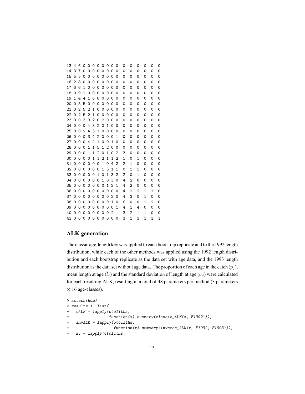#### **ALK generation**

The classic age-length key was applied to each bootstrap replicate and to the 1992 length distribution, while each of the other methods was applied using the 1992 length distribution and each bootstrap replicate as the data set with age data, and the 1993 length distribution as the data set without age data. The proportion of each age in the catch  $(p_i)$ , mean length at age  $(\bar{l}_i)$  and the standard deviation of length at age  $(\sigma_i)$  were calculated for each resulting ALK, resulting in a total of 48 parameters per method (3 parameters *×* 16 age-classes).

```
> attach(hom)
> results <- list(
   + cALK = lapply(otoliths,
                + function(x) summary(classic_ALK(x, F1992))),
+ invALK = lapply(otoliths,
+ function(x) summary(inverse_ALK(x, F1992, F1993))),
+ kc = lapply(otoliths,
```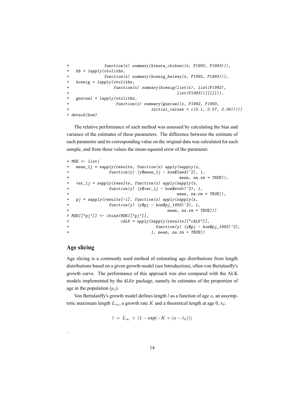```
+ function(x) summary(kimura_chikuni(x, F1992, F1993))),
+ hh = lapply(otoliths,
+ function(x) summary(hoenig_heisey(x, F1992, F1993))),
+ hoenig = lapply(otoliths,
+ function(x) summary(hoenig(list(x), list(F1992),
                                       + list(F1993))[[1]])),
   + gascuel = lapply(otoliths,
                 + function(x) summary(gascuel(x, F1992, F1993,
+ initial_values = c(0.1, 0.07, 0.06)))))
> detach(hom)
```
The relative performance of each method was assessed by calculating the bias and variance of the estimates of these parameters. The difference between the estimate of each parameter and its corresponding value on the original data was calculated for each sample, and from these values the mean-squared error of the parameter.

```
> MSE <- list(
+ mean_lj = sapply(results, function(x) apply(sapply(x,
            + function(y) (y$mean_lj - hom$lmed)^2), 1,
                                  + mean, na.rm = TRUE)),
+ var_lj = sapply(results, function(x) apply(sapply(x,
+ function(y) (y$var_lj - hom$stdv)^2), 1,
+ mean, na.rm = TRUE)),
+ pj = sapply(results[-1], function(x) apply(sapply(x,
+ function(y) (y$pj - hom$pj_1993)^2), 1,
+ mean, na.rm = TRUE)))
> MSE[["pj"]] <- cbind(MSE[["pj"]],
+ cALK = apply(sapply(results[["cALK"]],
+ function(y) (y$pj - hom$pj_1992)^2),
+ 1, mean, na.rm = TRUE))
```
#### **Age slicing**

.

Age slicing is a commonly used method of estimating age distributions from length distributions based on a given growth model (see Introduction), often von Bertalanffy's growth curve. The performance of this approach was also compared with the ALK models implemented by the ALKr package, namely its estimates of the proportion of age in the population  $(p_i)$ .

Von Bertalanffy's growth model defines length *l* as a function of age *a*, an assymptotic maximum length  $L_{\infty}$ , a growth rate *K* and a theoretical length at age 0,  $t_0$ :

$$
l = L_{\infty} \times (1 - \exp(-K \times (a - t_0)))
$$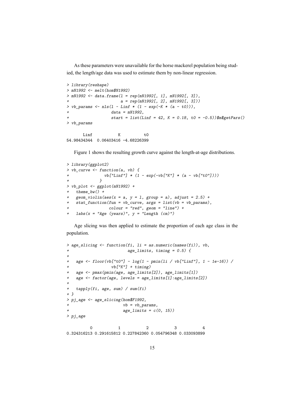As these parameters were unavailable for the horse mackerel population being studied, the length/age data was used to estimate them by non-linear regression.

```
> library(reshape)
> mN1992 <- melt(hom$N1992)
> mN1992 <- data.frame(l = rep(mN1992[, 1], mN1992[, 3]),
                    + a = rep(mN1992[, 2], mN1992[, 3]))
> vb_params <- nls(l ~ Linf * (1 - exp(-K * (a - t0))),
                 + data = mN1992,
+ start = list(Linf = 42, K = 0.18, t0 = -0.5))$m$getPars()
> vb_params
      Linf K t0
```
Figure 1 shows the resulting growth curve against the length-at-age distributions.

```
> library(ggplot2)
> vb_curve <- function(a, vb) {
             + vb["Linf"] * (1 - exp(-vb["K"] * (a - vb["t0"])))
+ }
> vb_plot <- ggplot(mN1992) +
+ theme_bw() +
+ geom_violin(aes(x = a, y = l, group = a), adjust = 2.5) +
+ stat_function(fun = vb_curve, args = list(vb = vb_params),
                 + colour = "red", geom = "line") +
+ labs(x = "Age (years)", y = "Length (cm)")
```
54.98434344 0.06403416 -4.68226399

Age slicing was then applied to estimate the proportion of each age class in the population.

```
> age_slicing <- function(fi, li = as.numeric(names(fi)), vb,
+ age_limits, timing = 0.5) {
+
+ age <- floor(vb["t0"] - log(1 - pmin(li / vb["Linf"], 1 - 1e-16)) /
+ vb["K"] + timing)
+ age <- pmax(pmin(age, age_limits[2]), age_limits[1])
+ age <- factor(age, levels = age_limits[1]:age_limits[2])
+
+ tapply(fi, age, sum) / sum(fi)
+ }
> pj_age <- age_slicing(hom$F1992,
+ vb = vb_params,
+ age_limits = c(0, 15))
> pj_age
        0 1 2 3 4
```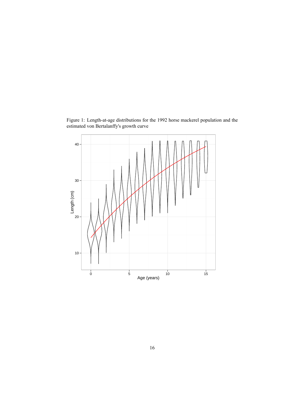

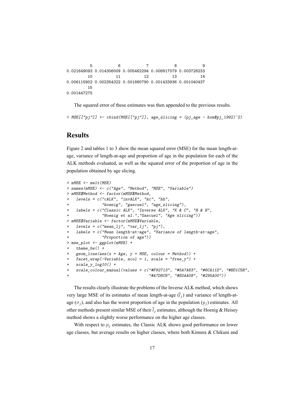```
5 6 7 8 9
0.021649093 0.014306009 0.005462294 0.008917079 0.003728233
      10 11 12 13 14
0.006115902 0.002354322 0.001880790 0.001433936 0.001040437
      15
0.001447275
```
The squared error of these estimates was then appended to the previous results.

*> MSE[["pj"]] <- cbind(MSE[["pj"]], age\_slicing = (pj\_age - hom\$pj\_1992)^2)*

## **Results**

Figure 2 and tables 1 to 3 show the mean squared error (MSE) for the mean length-atage, variance of length-at-age and proportion of age in the population for each of the ALK methods evaluated, as well as the squared error of the proportion of age in the population obtained by age slicing.

```
> mMSE <- melt(MSE)
> names(mMSE) <- c("Age", "Method", "MSE", "Variable")
> mMSE$Method <- factor(mMSE$Method,
   + levels = c("cALK", "invALK", "kc", "hh",
               + "hoenig", "gascuel", "age_slicing"),
+ labels = c("Classic ALK", "Inverse ALK", "K & C", "H & H",
+ "Hoenig et al.","Gascuel", "Age slicing"))
> mMSE$Variable <- factor(mMSE$Variable,
+ levels = c("mean_lj", "var_lj", "pj"),
+ labels = c("Mean length-at-age", "Variance of length-at-age",
               + "Proportion of age"))
> mse_plot <- ggplot(mMSE) +
+ theme_bw() +
   + geom_line(aes(x = Age, y = MSE, colour = Method)) +
  + facet_wrap(~Variable, ncol = 1, scale = "free_y") +
   + scale_y_log10() +
    + scale_colour_manual(values = c("#F92713", "#5A7A83", "#6CA11D", "#BD1C5B",
                                   + "#A7D8C8", "#E0AA08", "#295A00"))
```
The results clearly illustrate the problems of the Inverse ALK method, which shows very large MSE of its estimates of mean length-at-age  $(\bar{l}_i)$  and variance of length-atage ( $\sigma$ <sub>*j*</sub>), and also has the worst proportion of age in the population ( $p$ <sub>*j*</sub>) estimates. All other methods present similar MSE of their  $\bar{l}_i$  estimates, although the Hoenig & Heisey method shows a slightly worse performance on the higher age classes.

With respect to  $p_j$  estimates, the Classic ALK shows good performance on lower age classes, but average results on higher classes, where both Kimura  $\&$  Chikuni and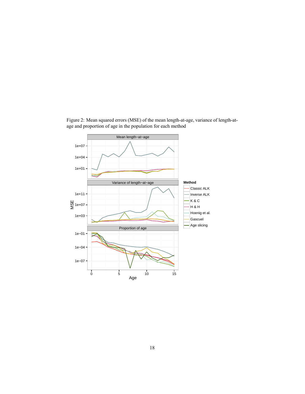

Figure 2: Mean squared errors (MSE) of the mean length-at-age, variance of length-atage and proportion of age in the population for each method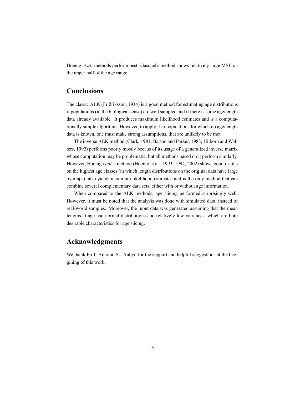Hoenig *et al.* methods perform best. Gascuel's method shows relatively large MSE on the upper half of the age range.

## **Conclusions**

The classic ALK (Friðriksson, 1934) is a good method for estimating age distributions if populations (in the biological sense) are well sampled and if there is some age/length data already avaliable. It produces maximum likelihood estimates and is a computationally simple algorithm. However, to apply it to populations for which no age/length data is known, one must make strong assumptions, that are unlikely to be met.

The inverse ALK method (Clark, 1981; Bartoo and Parker, 1983; Hilborn and Walters, 1992) performs poorly mostly becaus of its usage of a generalized inverse matrix whose computation may be problematic, but all methods based on it perform similarly. However, Hoenig *et al.*'s method (Hoenig et al., 1993, 1994, 2002) shows good results on the highest age classes (in which length distributions on the original data have large overlaps), also yields maximum likelihood estimates and is the only method that can combine several complementary data sets, either with or without age information.

When compared to the ALK methods, age slicing performed surprisingly well. However, it must be noted that the analysis was done with simulated data, instead of real-world samples. Moreover, the input data was generated assuming that the mean lengths-at-age had normal distributions and relatively low variances, which are both desirable characteristics for age slicing.

## **Acknowledgments**

We thank Prof. António St. Aubyn for the support and helpful suggestions at the beggining of this work.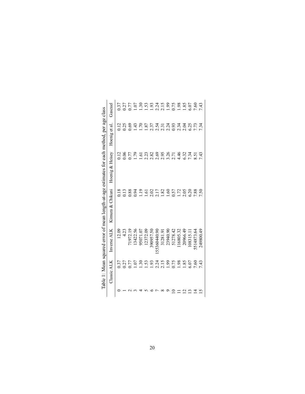|                                                                                            | Gascuel          | 0.37  |      | 0.27     | 1.07           | $\overline{30}$  | 1.53              |           |              | 93<br>2215<br>2215   | $\overline{6}$   | 0.75     | $86^{1}$          | 1.85     | $5.07$    | 09'       | 7.43      |
|--------------------------------------------------------------------------------------------|------------------|-------|------|----------|----------------|------------------|-------------------|-----------|--------------|----------------------|------------------|----------|-------------------|----------|-----------|-----------|-----------|
|                                                                                            | Hoenig et al     | 0.12  | 0.25 |          | $\frac{43}{5}$ | 0(1)             | 1.87              |           |              | 37<br>23733<br>23733 |                  |          | 234<br>235<br>235 |          |           | 7.73      | 7.34      |
|                                                                                            | Hoenig & Heisey  | 0.12  | 0.06 | 77       | 621            | $\overline{.61}$ | 2.23              | 2.82      | 2.69         | 2.95                 | 3.26             | 2.71     | 4.46              | 6.32     | 7.34      | 8.51      | 7.43      |
| Table 1: Mean squared error of mean length-at-age estimates for each method, per age class | Kimura & Chikuni | 0.18  | 0.13 | 0.88     | 0.94           | 1.19             | $\overline{1.61}$ | 2.02      | 2.17         | 1.82                 | 1.60             | 0.57     | 1.72              | 2.05     | 6.20      | 7.88      | 7.50      |
|                                                                                            | Inverse ALK      | 12.09 | 4.23 | 71972.19 | 13422.56       | 95071.07         | 12372.09          | 390957.50 | 155360440.90 | 31281.91             | 23940.90         | 51278.42 | 16805.32          | 20966.49 | 108315.17 | 514873.64 | 249800.49 |
|                                                                                            | Classic ALK      | .37   | 0.27 | 577      | 0.07           | $\overline{0}$   | 1.53              | 1.93      | 2.24         | 2.15                 | $\overline{199}$ | 0.75     | 86                | .85      | .07       | 7.60      | 7.43      |
|                                                                                            |                  |       |      |          |                |                  |                   |           |              |                      |                  |          |                   |          |           |           |           |

| 5                                                                              |  |
|--------------------------------------------------------------------------------|--|
|                                                                                |  |
| an at an our                                                                   |  |
|                                                                                |  |
| $\frac{1}{2}$                                                                  |  |
| )<br>3<br>3<br>3                                                               |  |
| an squared error of mean length at age estimates for each method ner age class |  |
|                                                                                |  |
|                                                                                |  |
| $\overline{\phantom{a}}$<br>ج<br>م<br>1                                        |  |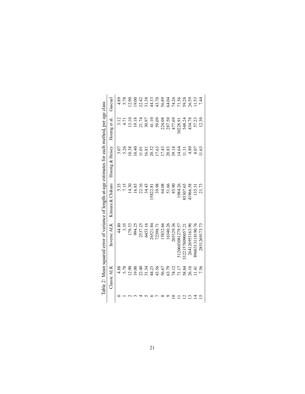| Classic ALK     | Inverse ALK      | Kimura & Chikuni | Hoenig & Heisey                                                     | Hoenig et al.                                                                        | Gascuel                                                                                        |
|-----------------|------------------|------------------|---------------------------------------------------------------------|--------------------------------------------------------------------------------------|------------------------------------------------------------------------------------------------|
| 4.88            | 44.80            | 5.35             | 3.07                                                                | 3.12                                                                                 | 4.89                                                                                           |
| 5.78            | 3.35             | 7.15             | 5.26<br>10.38<br>10.40<br>11.51<br>10.32<br>10.33<br>14.64<br>14.64 | 4.71                                                                                 | 5.78                                                                                           |
| 12.90           | 178.33           | 14.30            |                                                                     |                                                                                      |                                                                                                |
|                 | 994.25           | 16.83            |                                                                     | $\begin{array}{c} 13.10 \\ 19.18 \\ 19.17 \\ 21.74 \\ 30.97 \\ 41.10 \\ \end{array}$ |                                                                                                |
|                 | 2537.25          | 22.16            |                                                                     |                                                                                      |                                                                                                |
|                 | 6453.16          | 34.43            |                                                                     |                                                                                      | $\begin{array}{c} 0.8087488748874833444448647788411 \\ 1.51444864778841 \\ \hline \end{array}$ |
|                 | 26521.84         | 5822.81          |                                                                     |                                                                                      |                                                                                                |
|                 | 72398.71         | 39.98            |                                                                     |                                                                                      |                                                                                                |
|                 | 15832.66         | 64.08            |                                                                     |                                                                                      |                                                                                                |
|                 | 16340.26         | 51.66            |                                                                     | 224.08<br>287.50                                                                     |                                                                                                |
|                 | 205129.36        | 85.90            |                                                                     | 477.69                                                                               |                                                                                                |
|                 | 5120603081279.57 | 1984.26          |                                                                     | 30228.91                                                                             |                                                                                                |
|                 | 33221578090057.2 | 85307.65         | 1.31                                                                | 548.24                                                                               |                                                                                                |
|                 | 264126953163.96  | 1966.58          | 4.80                                                                | 434.78                                                                               |                                                                                                |
| $\frac{41}{11}$ | 8960313118190.76 | 135.31           | 8.07                                                                | 57.23                                                                                |                                                                                                |
| 7.56            | 2851269173.73    | 21.73            | 1.63                                                                | 12.30                                                                                | 7.44                                                                                           |

| ic the according to the second contracts of contracts of contracts of contracts of contracts of contracts of co |  |
|-----------------------------------------------------------------------------------------------------------------|--|
|                                                                                                                 |  |
|                                                                                                                 |  |
|                                                                                                                 |  |
|                                                                                                                 |  |
| )<br> <br>                                                                                                      |  |
|                                                                                                                 |  |
|                                                                                                                 |  |
| $\frac{1}{3}$<br>ׇ֚֬֡                                                                                           |  |
|                                                                                                                 |  |
|                                                                                                                 |  |
|                                                                                                                 |  |
|                                                                                                                 |  |
|                                                                                                                 |  |
| į                                                                                                               |  |
| י<br>א                                                                                                          |  |
|                                                                                                                 |  |
| loon conserved arror of tength on loon that he and one of                                                       |  |
|                                                                                                                 |  |
|                                                                                                                 |  |
| Table 2: N<br>د.<br>اب<br>ĺ                                                                                     |  |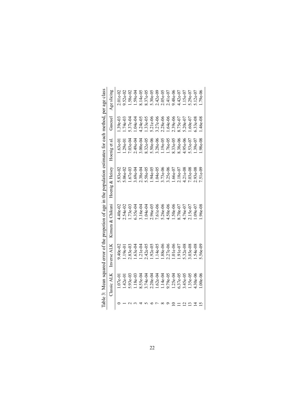| strated to the contract of the contract of the strategy of the contract of the contract of the contract of the contract of the contract of the contract of the contract of the contract of the contract of the contract of the | Age slicing<br>Gascuel                   | $2.01e-02$<br>$1.39e-03$ | $.52e-02$<br>$.74e-03$ | $.58e-02$<br>$37e-04$ | $.59e-04$<br>$.04e-04$ | $.14e-05$<br>$1.24e-05$ | 3.37e-05<br>1.33e-05 | $30e-05$<br>$5.21e-06$ | 2.42e-09<br>3.27e-06 | $2.05e-05$<br>2.28e-06 | $1e-07$<br>$.64e-06$ | $.48e-06$<br>2.39e-06 | $.42e-07$<br>1.75e-07 | $.15e-07$<br>5.20e-07 | $.29e-07$<br>$.60e-07$ | $.12e-07$<br>$.33e-08$ | $.79e-06$<br>.46e-08 |
|--------------------------------------------------------------------------------------------------------------------------------------------------------------------------------------------------------------------------------|------------------------------------------|--------------------------|------------------------|-----------------------|------------------------|-------------------------|----------------------|------------------------|----------------------|------------------------|----------------------|-----------------------|-----------------------|-----------------------|------------------------|------------------------|----------------------|
|                                                                                                                                                                                                                                | Hoenig et al.                            | $.63e-01$                | $.29e-01$              | $.03e-04$             | 2.49e-04               | $0.00e-04$              | $1.32e - 0.5$        | $5.50e - 06$           | $3.28e-06$           | $.19e-05$              | $.76e-05$            | $1.33e-0.5$           | $.38e-06$             | $-95e-06$             | $.53e-07$              | $.39e-07$              | 98e-08               |
|                                                                                                                                                                                                                                | Hoenig & Heisey                          | $.83e-02$                | $.06e-02$              | $.67e-03$             | $.69e-04$              | 2.38e-04                | 5.58e-05             | 1.94e-05               | $0.04e-0.5$          | $.73e-06$              | $.25e-06$            | $.66e-07$             | $.18e-07$             | $4.21e-08$            | $.03e-08$              | $.93e-08$              | 51e-09               |
|                                                                                                                                                                                                                                | Classic ALK Inverse ALK Kimura & Chikuni | $4.40e-02$               | 2.54e-02               | $.73e-03$             | $0.35e-04$             | $.16e-04$               | $.04e-04$            | 2.96e-05               | $0.61e - 06$         | 5.26e-06               | $1.50e - 06$         | $.50e-06$             | $70e-07$              | $.76e-07$             | $.15e-07$              | $.09e-07$              | $.96e - 08$          |
|                                                                                                                                                                                                                                |                                          | $9.40e-02$               | $.19e-01$              | $2.83e-03$            | $.63e-04$              | $.21e-04$               | $2.42e-05$           | $.92e-05$              | $.14e-05$            | $0.88 - 06$            | 2.27e-06             | $1.01e-06$            | 1.91e-07              | $32e-08$              | $0.03e-0.8$            | $.54e-08$              | .56e-09              |
|                                                                                                                                                                                                                                |                                          | $.07e-01$                | $.42e-01$              | 93e-03                | $.18e-03$              | $.55e-04$               | $.74e-04$            | $2.20e-04$             | $1.62e-04$           | 1.14e-04               | 1.79e-05             | $1.25e-04$            | 5.37e-05              | $45e-05$              | $.35e-0.5$             | $.30e - 06$            | $.00e - 06$          |
|                                                                                                                                                                                                                                |                                          |                          |                        |                       |                        |                         |                      |                        |                      |                        |                      |                       |                       |                       |                        |                        |                      |

Table 3: Mean squared error of the propotion of age in the population estimates for each method, per age class Table 3: Mean squared error of the propotion of age in the population estimates for each method, per age class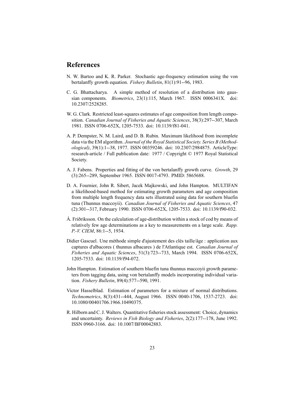### **References**

- N. W. Bartoo and K. R. Parker. Stochastic age-frequency estimation using the von bertalanffy growth equation. *Fishery Bulletin*, 81(1):91--96, 1983.
- C. G. Bhattacharya. A simple method of resolution of a distribution into gaussian components. *Biometrics*, 23(1):115, March 1967. ISSN 0006341X. doi: 10.2307/2528285.
- W. G. Clark. Restricted least-squares estimates of age composition from length composition. *Canadian Journal of Fisheries and Aquatic Sciences*, 38(3):297--307, March 1981. ISSN 0706-652X, 1205-7533. doi: 10.1139/f81-041.
- A. P. Dempster, N. M. Laird, and D. B. Rubin. Maximum likelihood from incomplete data via the EM algorithm. *Journal of the Royal Statistical Society. Series B (Methodological)*, 39(1):1--38, 1977. ISSN 00359246. doi: 10.2307/2984875. ArticleType: research-article / Full publication date: 1977 / Copyright © 1977 Royal Statistical Society.
- A. J. Fabens. Properties and fitting of the von bertalanffy growth curve. *Growth*, 29 (3):265--289, September 1965. ISSN 0017-4793. PMID: 5865688.
- D. A. Fournier, John R. Sibert, Jacek Majkowski, and John Hampton. MULTIFAN a likelihood-based method for estimating growth parameters and age composition from multiple length frequency data sets illustrated using data for southern bluefin tuna (Thunnus maccoyii). *Canadian Journal of Fisheries and Aquatic Sciences*, 47 (2):301--317, February 1990. ISSN 0706-652X, 1205-7533. doi: 10.1139/f90-032.
- Á. Friðriksson. On the calculation of age-distribution within a stock of cod by means of relatively few age determinations as a key to measurements on a large scale. *Rapp. P.-V. CIEM*, 86:1--5, 1934.
- Didier Gascuel. Une méthode simple d'ajustement des clés taille/âge : application aux captures d'albacores ( thunnus albacares ) de l'Atlantique est. *Canadian Journal of Fisheries and Aquatic Sciences*, 51(3):723--733, March 1994. ISSN 0706-652X, 1205-7533. doi: 10.1139/f94-072.
- John Hampton. Estimation of southern bluefin tuna thunnus maccoyii growth parameters from tagging data, using von bertalanffy models incorporating individual variation. *Fishery Bulletin*, 89(4):577--590, 1991.
- Victor Hasselblad. Estimation of parameters for a mixture of normal distributions. *Technometrics*, 8(3):431--444, August 1966. ISSN 0040-1706, 1537-2723. doi: 10.1080/00401706.1966.10490375.
- R. Hilborn and C. J. Walters. Quantitative fisheries stock assessment: Choice, dynamics and uncertainty. *Reviews in Fish Biology and Fisheries*, 2(2):177--178, June 1992. ISSN 0960-3166. doi: 10.1007/BF00042883.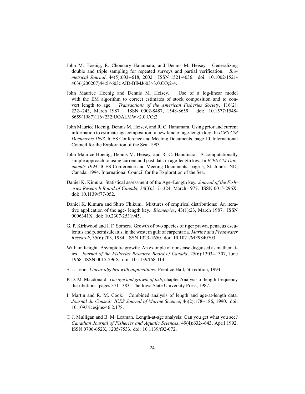- John M. Hoenig, R. Choudary Hanumara, and Dennis M. Heisey. Generalizing double and triple sampling for repeated surveys and partial verification. *Biometrical Journal*, 44(5):603--618, 2002. ISSN 1521-4036. doi: 10.1002/1521- 4036(200207)44:5<603::AID-BIMJ603>3.0.CO;2-4.
- John Maurice Hoenig and Dennis M. Heisey. Use of a log-linear model with the EM algorithm to correct estimates of stock composition and to convert length to age. *Transactions of the American Fisheries Society*, 116(2): 232--243, March 1987. ISSN 0002-8487, 1548-8659. doi: 10.1577/1548- 8659(1987)116<232:UOALMW>2.0.CO;2.
- John Maurice Hoenig, Dennis M. Heisey, and R. C. Hanumara. Using prior and current information to estimate age composition: a new kind of age-length key. In *ICES CM Documents 1993*, ICES Conference and Meeting Documents, page 10. International Council for the Exploration of the Sea, 1993.
- John Maurice Hoenig, Dennis M. Heisey, and R. C. Hanumara. A computationally simple approach to using current and past data in age-length key. In *ICES CM Documents 1994*, ICES Conference and Meeting Documents, page 5, St. John's, ND, Canada, 1994. International Council for the Exploration of the Sea.
- Daniel K. Kimura. Statistical assessment of the Age–Length key. *Journal of the Fisheries Research Board of Canada*, 34(3):317--324, March 1977. ISSN 0015-296X. doi: 10.1139/f77-052.
- Daniel K. Kimura and Shiro Chikuni. Mixtures of empirical distributions: An iterative application of the age- length key. *Biometrics*, 43(1):23, March 1987. ISSN 0006341X. doi: 10.2307/2531945.
- G. P. Kirkwood and I. F. Somers. Growth of two species of tiger prawn, penaeus esculentus and p. semisulcatus, in the western gulf of carpentaria. *Marine and Freshwater Research*, 35(6):703, 1984. ISSN 1323-1650. doi: 10.1071/MF9840703.
- William Knight. Asymptotic growth: An example of nonsense disguised as mathematics. *Journal of the Fisheries Research Board of Canada*, 25(6):1303--1307, June 1968. ISSN 0015-296X. doi: 10.1139/f68-114.
- S. J. Leon. *Linear algebra with applications*. Prentice Hall, 5th edition, 1994.
- P. D. M. Macdonald. *The age and growth of fish*, chapter Analysis of length-frequency distributions, pages 371--383. The Iowa State University Press, 1987.
- I. Martin and R. M. Cook. Combined analysis of length and age-at-length data. *Journal du Conseil: ICES Journal of Marine Science*, 46(2):178--186, 1990. doi: 10.1093/icesjms/46.2.178.
- T. J. Mulligan and B. M. Leaman. Length-at-age analysis: Can you get what you see? *Canadian Journal of Fisheries and Aquatic Sciences*, 49(4):632--643, April 1992. ISSN 0706-652X, 1205-7533. doi: 10.1139/f92-072.